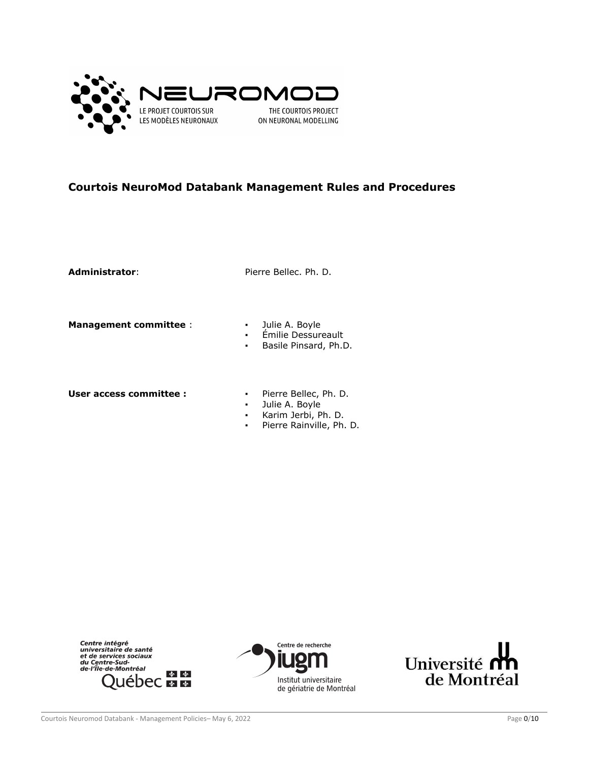

# **Courtois NeuroMod Databank Management Rules and Procedures**

Administrator: Pierre Bellec. Ph. D.

**Management committee** : The Mullie A. Boyle

- 
- Émilie Dessureault
- Basile Pinsard, Ph.D.

**User access committee : ·** Pierre Bellec, Ph. D.

- 
- Julie A. Boyle
- Karim Jerbi, Ph. D.
- Pierre Rainville, Ph. D.





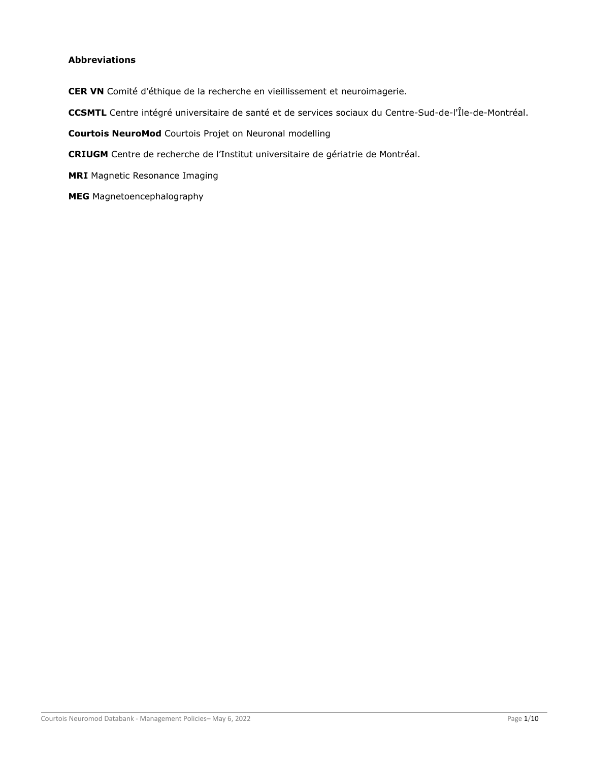# <span id="page-1-0"></span>**Abbreviations**

- **CER VN** Comité d'éthique de la recherche en vieillissement et neuroimagerie.
- **CCSMTL** Centre intégré universitaire de santé et de services sociaux du Centre-Sud-de-l'Île-de-Montréal.
- **Courtois NeuroMod** Courtois Projet on Neuronal modelling
- **CRIUGM** Centre de recherche de l'Institut universitaire de gériatrie de Montréal.
- **MRI** Magnetic Resonance Imaging
- **MEG** Magnetoencephalography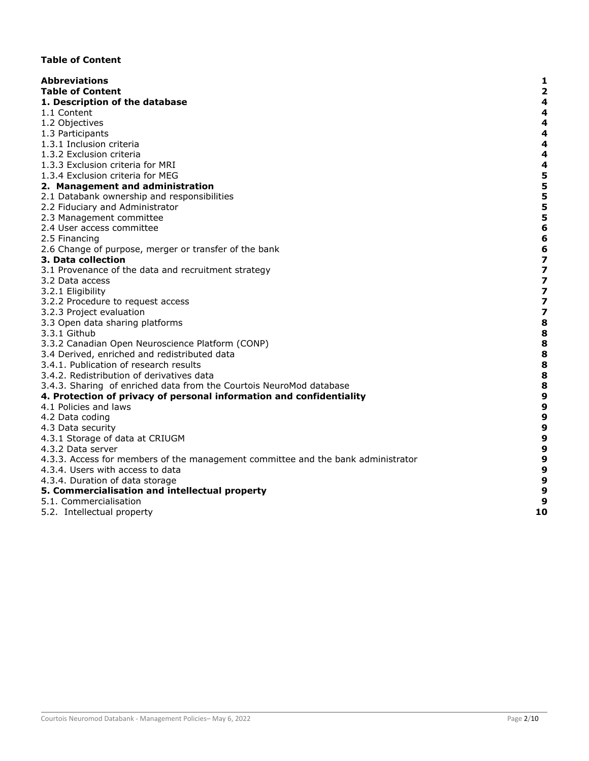# <span id="page-2-0"></span>**Table of Content**

| <b>Abbreviations</b>                                                             | 1                       |
|----------------------------------------------------------------------------------|-------------------------|
| <b>Table of Content</b>                                                          | $\overline{\mathbf{2}}$ |
| 1. Description of the database                                                   | 4                       |
| 1.1 Content                                                                      | 4                       |
| 1.2 Objectives                                                                   | 4                       |
| 1.3 Participants                                                                 | 4                       |
| 1.3.1 Inclusion criteria                                                         | 4                       |
| 1.3.2 Exclusion criteria                                                         | 4                       |
| 1.3.3 Exclusion criteria for MRI                                                 | $\overline{\mathbf{4}}$ |
| 1.3.4 Exclusion criteria for MEG                                                 | 5                       |
| 2. Management and administration                                                 | 5                       |
| 2.1 Databank ownership and responsibilities                                      | 5                       |
| 2.2 Fiduciary and Administrator                                                  | 5                       |
| 2.3 Management committee                                                         | 5                       |
| 2.4 User access committee                                                        | $6\phantom{1}6$         |
| 2.5 Financing                                                                    | $6\phantom{1}6$         |
| 2.6 Change of purpose, merger or transfer of the bank                            | 6                       |
| 3. Data collection                                                               | $\overline{\mathbf{z}}$ |
| 3.1 Provenance of the data and recruitment strategy                              | 7                       |
| 3.2 Data access                                                                  | $\overline{\mathbf{z}}$ |
| 3.2.1 Eligibility                                                                | $\overline{\mathbf{z}}$ |
| 3.2.2 Procedure to request access                                                | 7                       |
| 3.2.3 Project evaluation                                                         | $\overline{\mathbf{z}}$ |
| 3.3 Open data sharing platforms                                                  | 8                       |
| 3.3.1 Github                                                                     | 8                       |
| 3.3.2 Canadian Open Neuroscience Platform (CONP)                                 | 8                       |
| 3.4 Derived, enriched and redistributed data                                     | 8                       |
| 3.4.1. Publication of research results                                           | 8                       |
| 3.4.2. Redistribution of derivatives data                                        | 8                       |
| 3.4.3. Sharing of enriched data from the Courtois NeuroMod database              | 8                       |
| 4. Protection of privacy of personal information and confidentiality             | 9                       |
| 4.1 Policies and laws                                                            | $\boldsymbol{9}$        |
| 4.2 Data coding                                                                  | $\boldsymbol{9}$        |
| 4.3 Data security                                                                | 9                       |
| 4.3.1 Storage of data at CRIUGM                                                  | 9                       |
| 4.3.2 Data server                                                                | $\boldsymbol{9}$        |
| 4.3.3. Access for members of the management committee and the bank administrator | $\boldsymbol{9}$        |
| 4.3.4. Users with access to data                                                 | $\boldsymbol{9}$        |
| 4.3.4. Duration of data storage                                                  | 9                       |
| 5. Commercialisation and intellectual property                                   | $\boldsymbol{9}$        |
| 5.1. Commercialisation                                                           | 9                       |
|                                                                                  | 10                      |
| 5.2. Intellectual property                                                       |                         |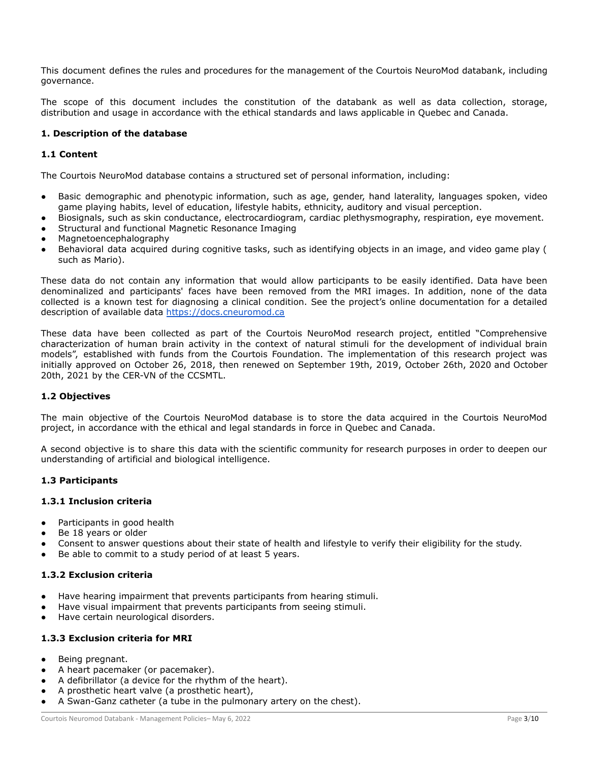This document defines the rules and procedures for the management of the Courtois NeuroMod databank, including governance.

The scope of this document includes the constitution of the databank as well as data collection, storage, distribution and usage in accordance with the ethical standards and laws applicable in Quebec and Canada.

# <span id="page-3-0"></span>**1. Description of the database**

# <span id="page-3-1"></span>**1.1 Content**

The Courtois NeuroMod database contains a structured set of personal information, including:

- Basic demographic and phenotypic information, such as age, gender, hand laterality, languages spoken, video game playing habits, level of education, lifestyle habits, ethnicity, auditory and visual perception.
- Biosignals, such as skin conductance, electrocardiogram, cardiac plethysmography, respiration, eye movement.
- Structural and functional Magnetic Resonance Imaging
- Magnetoencephalography
- Behavioral data acquired during cognitive tasks, such as identifying objects in an image, and video game play ( such as Mario).

These data do not contain any information that would allow participants to be easily identified. Data have been denominalized and participants' faces have been removed from the MRI images. In addition, none of the data collected is a known test for diagnosing a clinical condition. See the project's online documentation for a detailed description of available data [https://docs.cneuromod.ca](https://docs.cneuromod.ca/)

These data have been collected as part of the Courtois NeuroMod research project, entitled "Comprehensive characterization of human brain activity in the context of natural stimuli for the development of individual brain models", established with funds from the Courtois Foundation. The implementation of this research project was initially approved on October 26, 2018, then renewed on September 19th, 2019, October 26th, 2020 and October 20th, 2021 by the CER-VN of the CCSMTL.

# <span id="page-3-2"></span>**1.2 Objectives**

The main objective of the Courtois NeuroMod database is to store the data acquired in the Courtois NeuroMod project, in accordance with the ethical and legal standards in force in Quebec and Canada.

A second objective is to share this data with the scientific community for research purposes in order to deepen our understanding of artificial and biological intelligence.

### <span id="page-3-3"></span>**1.3 Participants**

### <span id="page-3-4"></span>**1.3.1 Inclusion criteria**

- Participants in good health
- Be 18 years or older
- Consent to answer questions about their state of health and lifestyle to verify their eligibility for the study.
- Be able to commit to a study period of at least 5 years.

# <span id="page-3-5"></span>**1.3.2 Exclusion criteria**

- Have hearing impairment that prevents participants from hearing stimuli.
- Have visual impairment that prevents participants from seeing stimuli.
- Have certain neurological disorders.

# <span id="page-3-6"></span>**1.3.3 Exclusion criteria for MRI**

- Being pregnant.
- A heart pacemaker (or pacemaker).
- A defibrillator (a device for the rhythm of the heart).
- A prosthetic heart valve (a prosthetic heart),
- A Swan-Ganz catheter (a tube in the pulmonary artery on the chest).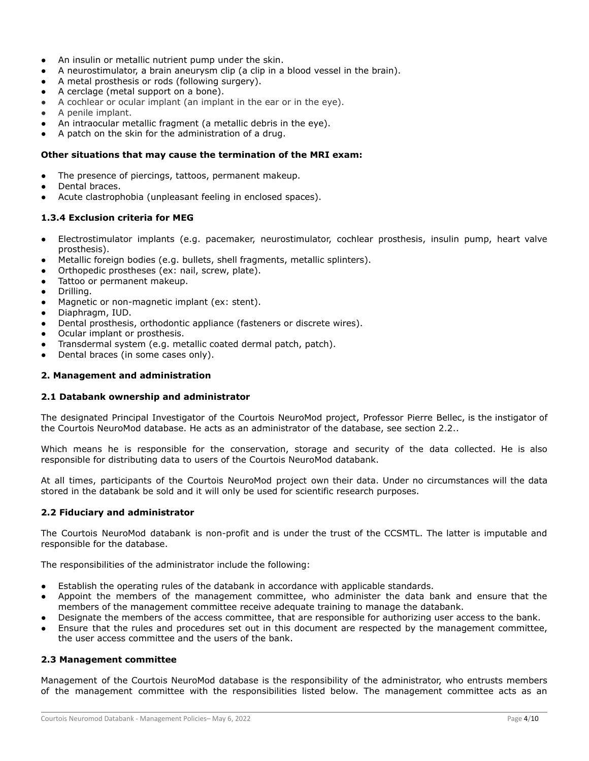- An insulin or metallic nutrient pump under the skin.
- A neurostimulator, a brain aneurysm clip (a clip in a blood vessel in the brain).
- A metal prosthesis or rods (following surgery).
- A cerclage (metal support on a bone).
- A cochlear or ocular implant (an implant in the ear or in the eye).
- A penile implant.
- An intraocular metallic fragment (a metallic debris in the eye).
- A patch on the skin for the administration of a drug.

### **Other situations that may cause the termination of the MRI exam:**

- The presence of piercings, tattoos, permanent makeup.
- Dental braces
- Acute clastrophobia (unpleasant feeling in enclosed spaces).

### <span id="page-4-0"></span>**1.3.4 Exclusion criteria for MEG**

- Electrostimulator implants (e.g. pacemaker, neurostimulator, cochlear prosthesis, insulin pump, heart valve prosthesis).
- Metallic foreign bodies (e.g. bullets, shell fragments, metallic splinters).
- Orthopedic prostheses (ex: nail, screw, plate).
- Tattoo or permanent makeup.
- Drilling.
- Magnetic or non-magnetic implant (ex: stent).
- Diaphragm, IUD.
- Dental prosthesis, orthodontic appliance (fasteners or discrete wires).
- Ocular implant or prosthesis.
- Transdermal system (e.g. metallic coated dermal patch, patch).
- Dental braces (in some cases only).

### <span id="page-4-1"></span>**2. Management and administration**

#### <span id="page-4-2"></span>**2.1 Databank ownership and administrator**

The designated Principal Investigator of the Courtois NeuroMod project, Professor Pierre Bellec, is the instigator of the Courtois NeuroMod database. He acts as an administrator of the database, see section 2.2..

Which means he is responsible for the conservation, storage and security of the data collected. He is also responsible for distributing data to users of the Courtois NeuroMod databank.

At all times, participants of the Courtois NeuroMod project own their data. Under no circumstances will the data stored in the databank be sold and it will only be used for scientific research purposes.

#### <span id="page-4-3"></span>**2.2 Fiduciary and administrator**

The Courtois NeuroMod databank is non-profit and is under the trust of the CCSMTL. The latter is imputable and responsible for the database.

The responsibilities of the administrator include the following:

- Establish the operating rules of the databank in accordance with applicable standards.
- Appoint the members of the management committee, who administer the data bank and ensure that the members of the management committee receive adequate training to manage the databank.
- Designate the members of the access committee, that are responsible for authorizing user access to the bank.
- Ensure that the rules and procedures set out in this document are respected by the management committee, the user access committee and the users of the bank.

### <span id="page-4-4"></span>**2.3 Management committee**

Management of the Courtois NeuroMod database is the responsibility of the administrator, who entrusts members of the management committee with the responsibilities listed below. The management committee acts as an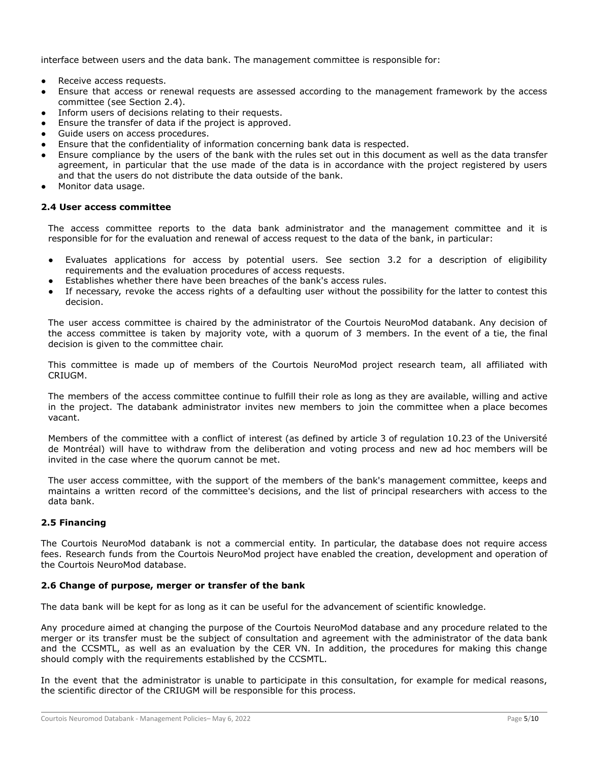interface between users and the data bank. The management committee is responsible for:

- Receive access requests.
- Ensure that access or renewal requests are assessed according to the management framework by the access committee (see Section 2.4).
- Inform users of decisions relating to their requests.
- Ensure the transfer of data if the project is approved.
- Guide users on access procedures.
- Ensure that the confidentiality of information concerning bank data is respected.
- Ensure compliance by the users of the bank with the rules set out in this document as well as the data transfer agreement, in particular that the use made of the data is in accordance with the project registered by users and that the users do not distribute the data outside of the bank.
- Monitor data usage.

### <span id="page-5-0"></span>**2.4 User access committee**

The access committee reports to the data bank administrator and the management committee and it is responsible for for the evaluation and renewal of access request to the data of the bank, in particular:

- Evaluates applications for access by potential users. See section 3.2 for a description of eligibility requirements and the evaluation procedures of access requests.
- Establishes whether there have been breaches of the bank's access rules.
- If necessary, revoke the access rights of a defaulting user without the possibility for the latter to contest this decision.

The user access committee is chaired by the administrator of the Courtois NeuroMod databank. Any decision of the access committee is taken by majority vote, with a quorum of 3 members. In the event of a tie, the final decision is given to the committee chair.

This committee is made up of members of the Courtois NeuroMod project research team, all affiliated with CRIUGM.

The members of the access committee continue to fulfill their role as long as they are available, willing and active in the project. The databank administrator invites new members to join the committee when a place becomes vacant.

Members of the committee with a conflict of interest (as defined by article 3 of regulation 10.23 of the Université de Montréal) will have to withdraw from the deliberation and voting process and new ad hoc members will be invited in the case where the quorum cannot be met.

The user access committee, with the support of the members of the bank's management committee, keeps and maintains a written record of the committee's decisions, and the list of principal researchers with access to the data bank.

# <span id="page-5-1"></span>**2.5 Financing**

The Courtois NeuroMod databank is not a commercial entity. In particular, the database does not require access fees. Research funds from the Courtois NeuroMod project have enabled the creation, development and operation of the Courtois NeuroMod database.

# <span id="page-5-2"></span>**2.6 Change of purpose, merger or transfer of the bank**

The data bank will be kept for as long as it can be useful for the advancement of scientific knowledge.

Any procedure aimed at changing the purpose of the Courtois NeuroMod database and any procedure related to the merger or its transfer must be the subject of consultation and agreement with the administrator of the data bank and the CCSMTL, as well as an evaluation by the CER VN. In addition, the procedures for making this change should comply with the requirements established by the CCSMTL.

In the event that the administrator is unable to participate in this consultation, for example for medical reasons, the scientific director of the CRIUGM will be responsible for this process.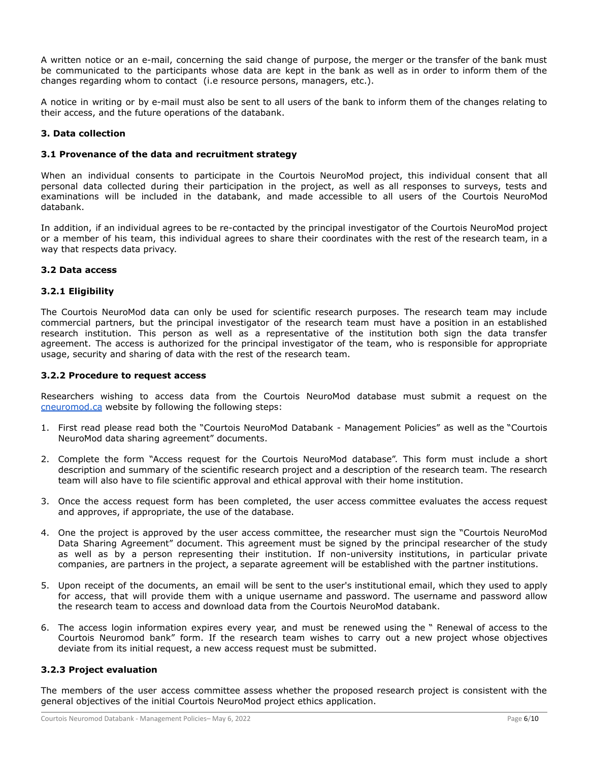A written notice or an e-mail, concerning the said change of purpose, the merger or the transfer of the bank must be communicated to the participants whose data are kept in the bank as well as in order to inform them of the changes regarding whom to contact (i.e resource persons, managers, etc.).

A notice in writing or by e-mail must also be sent to all users of the bank to inform them of the changes relating to their access, and the future operations of the databank.

# <span id="page-6-0"></span>**3. Data collection**

### <span id="page-6-1"></span>**3.1 Provenance of the data and recruitment strategy**

When an individual consents to participate in the Courtois NeuroMod project, this individual consent that all personal data collected during their participation in the project, as well as all responses to surveys, tests and examinations will be included in the databank, and made accessible to all users of the Courtois NeuroMod databank.

In addition, if an individual agrees to be re-contacted by the principal investigator of the Courtois NeuroMod project or a member of his team, this individual agrees to share their coordinates with the rest of the research team, in a way that respects data privacy.

### <span id="page-6-2"></span>**3.2 Data access**

### <span id="page-6-3"></span>**3.2.1 Eligibility**

The Courtois NeuroMod data can only be used for scientific research purposes. The research team may include commercial partners, but the principal investigator of the research team must have a position in an established research institution. This person as well as a representative of the institution both sign the data transfer agreement. The access is authorized for the principal investigator of the team, who is responsible for appropriate usage, security and sharing of data with the rest of the research team.

### <span id="page-6-4"></span>**3.2.2 Procedure to request access**

Researchers wishing to access data from the Courtois NeuroMod database must submit a request on the [cneuromod.ca](https://cneuromod.ca/) website by following the following steps:

- 1. First read please read both the "Courtois NeuroMod Databank Management Policies" as well as the "Courtois NeuroMod data sharing agreement" documents.
- 2. Complete the form "Access request for the Courtois NeuroMod database". This form must include a short description and summary of the scientific research project and a description of the research team. The research team will also have to file scientific approval and ethical approval with their home institution.
- 3. Once the access request form has been completed, the user access committee evaluates the access request and approves, if appropriate, the use of the database.
- 4. One the project is approved by the user access committee, the researcher must sign the "Courtois NeuroMod Data Sharing Agreement" document. This agreement must be signed by the principal researcher of the study as well as by a person representing their institution. If non-university institutions, in particular private companies, are partners in the project, a separate agreement will be established with the partner institutions.
- 5. Upon receipt of the documents, an email will be sent to the user's institutional email, which they used to apply for access, that will provide them with a unique username and password. The username and password allow the research team to access and download data from the Courtois NeuroMod databank.
- 6. The access login information expires every year, and must be renewed using the " Renewal of access to the Courtois Neuromod bank" form. If the research team wishes to carry out a new project whose objectives deviate from its initial request, a new access request must be submitted.

#### <span id="page-6-5"></span>**3.2.3 Project evaluation**

The members of the user access committee assess whether the proposed research project is consistent with the general objectives of the initial Courtois NeuroMod project ethics application.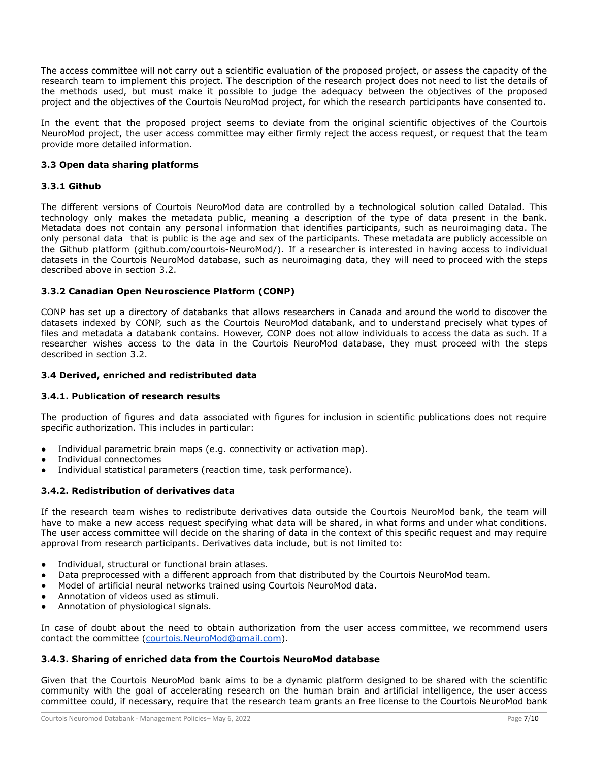The access committee will not carry out a scientific evaluation of the proposed project, or assess the capacity of the research team to implement this project. The description of the research project does not need to list the details of the methods used, but must make it possible to judge the adequacy between the objectives of the proposed project and the objectives of the Courtois NeuroMod project, for which the research participants have consented to.

In the event that the proposed project seems to deviate from the original scientific objectives of the Courtois NeuroMod project, the user access committee may either firmly reject the access request, or request that the team provide more detailed information.

# <span id="page-7-0"></span>**3.3 Open data sharing platforms**

# <span id="page-7-1"></span>**3.3.1 Github**

The different versions of Courtois NeuroMod data are controlled by a technological solution called Datalad. This technology only makes the metadata public, meaning a description of the type of data present in the bank. Metadata does not contain any personal information that identifies participants, such as neuroimaging data. The only personal data that is public is the age and sex of the participants. These metadata are publicly accessible on the Github platform (github.com/courtois-NeuroMod/). If a researcher is interested in having access to individual datasets in the Courtois NeuroMod database, such as neuroimaging data, they will need to proceed with the steps described above in section 3.2.

# <span id="page-7-2"></span>**3.3.2 Canadian Open Neuroscience Platform (CONP)**

CONP has set up a directory of databanks that allows researchers in Canada and around the world to discover the datasets indexed by CONP, such as the Courtois NeuroMod databank, and to understand precisely what types of files and metadata a databank contains. However, CONP does not allow individuals to access the data as such. If a researcher wishes access to the data in the Courtois NeuroMod database, they must proceed with the steps described in section 3.2.

# <span id="page-7-3"></span>**3.4 Derived, enriched and redistributed data**

# <span id="page-7-4"></span>**3.4.1. Publication of research results**

The production of figures and data associated with figures for inclusion in scientific publications does not require specific authorization. This includes in particular:

- Individual parametric brain maps (e.g. connectivity or activation map).
- Individual connectomes
- Individual statistical parameters (reaction time, task performance).

# <span id="page-7-5"></span>**3.4.2. Redistribution of derivatives data**

If the research team wishes to redistribute derivatives data outside the Courtois NeuroMod bank, the team will have to make a new access request specifying what data will be shared, in what forms and under what conditions. The user access committee will decide on the sharing of data in the context of this specific request and may require approval from research participants. Derivatives data include, but is not limited to:

- Individual, structural or functional brain atlases.
- Data preprocessed with a different approach from that distributed by the Courtois NeuroMod team.
- Model of artificial neural networks trained using Courtois NeuroMod data.
- Annotation of videos used as stimuli.
- Annotation of physiological signals.

In case of doubt about the need to obtain authorization from the user access committee, we recommend users contact the committee ([courtois.NeuroMod@gmail.com](mailto:courtois.neuromod@gmail.com)).

# <span id="page-7-6"></span>**3.4.3. Sharing of enriched data from the Courtois NeuroMod database**

Given that the Courtois NeuroMod bank aims to be a dynamic platform designed to be shared with the scientific community with the goal of accelerating research on the human brain and artificial intelligence, the user access committee could, if necessary, require that the research team grants an free license to the Courtois NeuroMod bank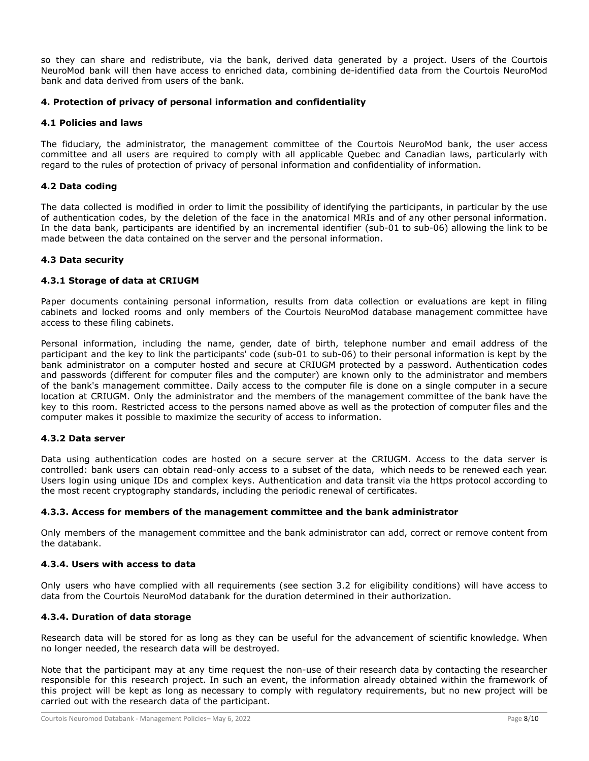so they can share and redistribute, via the bank, derived data generated by a project. Users of the Courtois NeuroMod bank will then have access to enriched data, combining de-identified data from the Courtois NeuroMod bank and data derived from users of the bank.

# <span id="page-8-0"></span>**4. Protection of privacy of personal information and confidentiality**

### <span id="page-8-1"></span>**4.1 Policies and laws**

The fiduciary, the administrator, the management committee of the Courtois NeuroMod bank, the user access committee and all users are required to comply with all applicable Quebec and Canadian laws, particularly with regard to the rules of protection of privacy of personal information and confidentiality of information.

### <span id="page-8-2"></span>**4.2 Data coding**

The data collected is modified in order to limit the possibility of identifying the participants, in particular by the use of authentication codes, by the deletion of the face in the anatomical MRIs and of any other personal information. In the data bank, participants are identified by an incremental identifier (sub-01 to sub-06) allowing the link to be made between the data contained on the server and the personal information.

### <span id="page-8-3"></span>**4.3 Data security**

### <span id="page-8-4"></span>**4.3.1 Storage of data at CRIUGM**

Paper documents containing personal information, results from data collection or evaluations are kept in filing cabinets and locked rooms and only members of the Courtois NeuroMod database management committee have access to these filing cabinets.

Personal information, including the name, gender, date of birth, telephone number and email address of the participant and the key to link the participants' code (sub-01 to sub-06) to their personal information is kept by the bank administrator on a computer hosted and secure at CRIUGM protected by a password. Authentication codes and passwords (different for computer files and the computer) are known only to the administrator and members of the bank's management committee. Daily access to the computer file is done on a single computer in a secure location at CRIUGM. Only the administrator and the members of the management committee of the bank have the key to this room. Restricted access to the persons named above as well as the protection of computer files and the computer makes it possible to maximize the security of access to information.

#### <span id="page-8-5"></span>**4.3.2 Data server**

Data using authentication codes are hosted on a secure server at the CRIUGM. Access to the data server is controlled: bank users can obtain read-only access to a subset of the data, which needs to be renewed each year. Users login using unique IDs and complex keys. Authentication and data transit via the https protocol according to the most recent cryptography standards, including the periodic renewal of certificates.

#### <span id="page-8-6"></span>**4.3.3. Access for members of the management committee and the bank administrator**

Only members of the management committee and the bank administrator can add, correct or remove content from the databank.

### <span id="page-8-7"></span>**4.3.4. Users with access to data**

Only users who have complied with all requirements (see section 3.2 for eligibility conditions) will have access to data from the Courtois NeuroMod databank for the duration determined in their authorization.

### <span id="page-8-8"></span>**4.3.4. Duration of data storage**

Research data will be stored for as long as they can be useful for the advancement of scientific knowledge. When no longer needed, the research data will be destroyed.

Note that the participant may at any time request the non-use of their research data by contacting the researcher responsible for this research project. In such an event, the information already obtained within the framework of this project will be kept as long as necessary to comply with regulatory requirements, but no new project will be carried out with the research data of the participant.